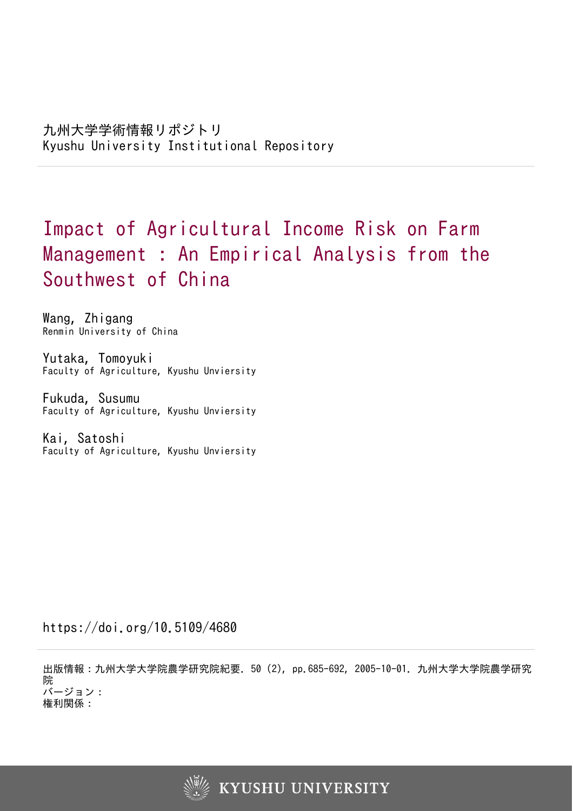# Impact of Agricultural Income Risk on Farm Management : An Empirical Analysis from the Southwest of China

Wang, Zhigang Renmin University of China

Yutaka, Tomoyuki Faculty of Agriculture, Kyushu Unviersity

Fukuda, Susumu Faculty of Agriculture, Kyushu Unviersity

Kai, Satoshi Faculty of Agriculture, Kyushu Unviersity

https://doi.org/10.5109/4680

出版情報:九州大学大学院農学研究院紀要. 50 (2), pp.685-692, 2005-10-01. 九州大学大学院農学研究 院 バージョン: 権利関係:

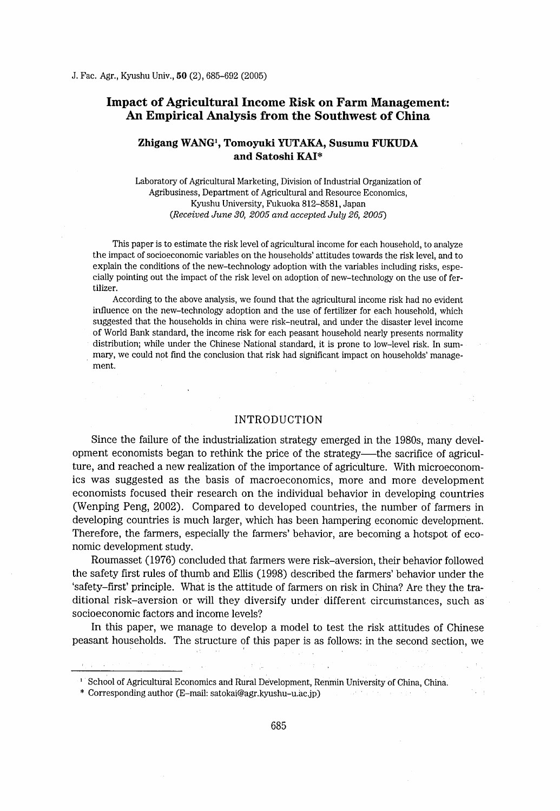# Impact of Agricultural Income Risk on Farm Management: An Empirical Analysis from the Southwest of China

## Zhigang WANG<sup>1</sup>, Tomoyuki YUTAKA, Susumu FUKUDA and Satoshi KAI\*

Laboratory of Agricultural Marketing, Division of Industrial Organization of Agribusiness, Department of Agricultural and Resource Economics, Kyushu University, Fukuoka 812-8581 , Japan  $(Received June 30, 2005 and accepted July 26, 2005)$ 

This paper is to estimate the risk level of agricultural income for each household, to analyze the impact of socioeconomic variables on the households' attitudes towards the risk level, and to explain the conditions of the new-technology adoption with the variables including risks, especially pointing out the impact of the risk level on adoption of new-technology on the use of fertilizer.

According to the above analysis, we found that the agricultural income risk had no evident influence on the new-technology adoption and the use of fertilizer for each household, which suggested that the households in china were risk-neutral, and under the disaster level income of World Bank standard, the income risk for each peasant household nearly presents normality distribution; while under the Chinese National standard, it is prone to low-level risk. In summary, we could not find the conclusion that risk had significant impact on households' management.

#### INTRODUCTION

Since the failure of the industrialization strategy emerged in the 1980s, many development economists began to rethink the price of the strategy—the sacrifice of agriculture, and reached a new realization of the importance of agriculture. With microeconomics was suggested as the basis of macroeconomics, more and more development economists focused their research on the individual behavior in developing countries (Wenping Peng, 2002). Compared to developed countries, the number of farmers in developing countries is much larger, which has been hampering economic development. Therefore, the farrners, especially the farmers' behavior, are becoming a hotspot of economic development study.

Roumasset (1976) concluded that farmers were risk-aVersion, their behavior followed the safety first rules of thumb and Ellis (1998) described the farmers' behavior under the 'safety-first' principle. What is the attitude of fanners on risk in China? Are they the traditional risk-aversion or will they diversify under different circumstances, such as socioeconomic factors and income levels?

In this paper, we manage to develop a model to test the risk attitudes of Chinese peasant households. The structure of this paper is as follows: in the second section, we

 $\sim$ 

\* Corresponding author (E-mail: satokai@agr.kyushu-u.ac.jp)

<sup>&</sup>lt;sup>1</sup> School of Agricultural Economics and Rural Development, Renmin University of China, China.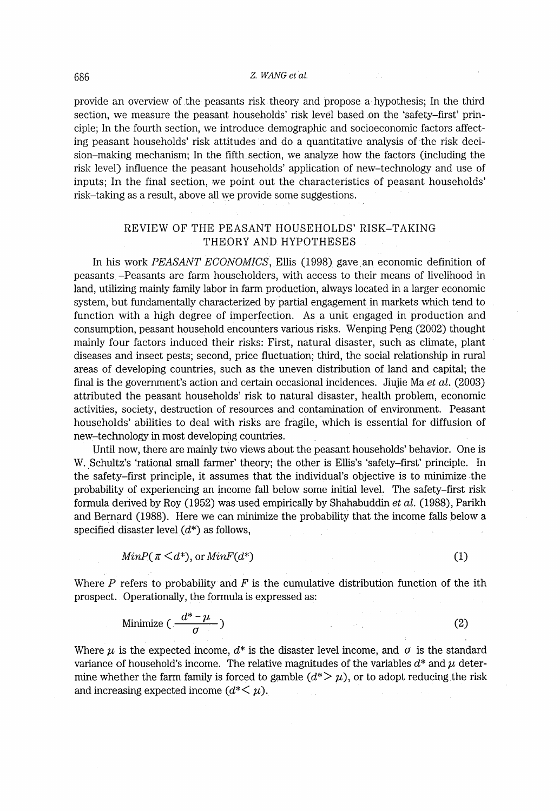#### 686 Z. WANG et al.

provide an overview of ,the peasants risk theory and propose a hypothesis; In the third section, we measure the peasant households' risk level based on the 'safety-first' principle; In the fourth section, we introduce demographic and socioeconomic factors affecting peasant households' risk attitudes and do a quantitative analysis of the risk decision-making mechanism; In the fifth section, we analyze how the factors (including the risk level) influence the peasant households' application of new-technology and use of inputs; In the final section, we point out the characteristics of peasant households' risk-taking as a result, above all we provide some suggestions.

# REVIEW OF THE PEASANT HOUSEHOLDS' RISK-TAKING THEORY AND HYPOTHESES

In his work *PEASANT ECONOMICS*, Ellis (1998) gave an economic definition of peasants , -Peasants are farm householders, with access to their means of livelihood in land, utilizing mainly family labor in farm production, always located in a larger economic system, but fundamentally characterized by bartial engagement in markets which tend to function with a high degree of imperfection. As a unit engaged in production and consumption, peasant household encounters various risks. Wenping Peng (2002) thought mainly four factors induced their risks: First, natural disaster, such as climate, plant diseases and insect pests; second, price fluctuation; third, the social relationship in rural areas of developing countries, such as the uneven distribution of land and capital; the final is the government's action and certain occasional incidences. Jiujie Ma et al.  $(2003)$ attributed the peasant households' risk to natural disaster, health problem, economic activities, society, destruction of resources and contamination of environment. Peasant households' abilities to deal with risks are fragile, which is essential for diffusion of new-technology in most developing countries.

Until now, there are mainJy two views about the peasant households' behavior. One is W. Schultz's 'rational small farmer' theory; the other is Ellis's 'safety-first' principle. In the safety-first principle, it assumes that the individual's objective is to minimize the probability of experiencing an income fall below some imtial level. The safety-first risk formula derived by Roy (1952) was used empirically by Shahabuddin et al. (1988), Parikh and Bernard (1988). Here we can minimize the probability that the income falls below a specified disaster level  $(d^*)$  as follows,

$$
MinP(\pi \leq d^*), \text{ or } MinF(d^*)
$$
 (1)

Where  $P$  refers to probability and  $F$  is the cumulative distribution function of the ith prospect. Operationally, the formula is expressed as:

Minimize 
$$
\left(\frac{d^* - \mu}{\sigma}\right)
$$
 (2)

Where  $\mu$  is the expected income,  $d^*$  is the disaster level income, and  $\sigma$  is the standard variance of household's income. The relative magnitudes of the variables  $d^*$  and  $\mu$  determine whether the farm family is forced to gamble  $(d^* > \mu)$ , or to adopt reducing the risk and increasing expected income  $(d^*<\mu)$ .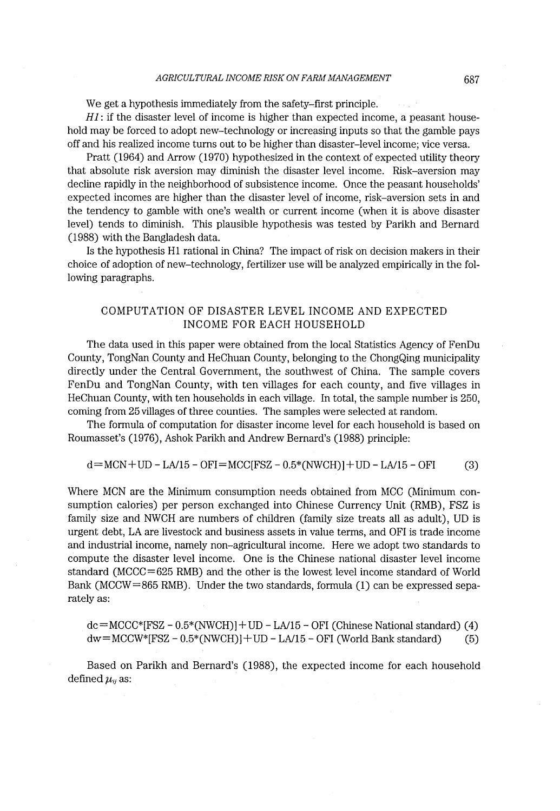## AGRICULTURAL INCOME RISK ON FARM MANAGEMENT 687

We get a hypothesis immediately from the safety-first principle.

 $H1$ : if the disaster level of income is higher than expected income, a peasant household may be forced to adopt new-technology or increasing inputs so that the gamble pays off and his realized income turns out to be higher than disaster-Ievel income; vice versa.

Pratt (1964) and Arrow (1970) hypothesized in the context of expected utility theory that absolute risk aversion may diminish the disaster level income. Risk-aversion may decline rapidly in the neighborhood of subsistence income. Once the peasant households' expected incomes are higher than the disaster level of income, risk-aversion sets in and the tendency to gamble with one's wealth or current income (when it is above disaster level) tends to diminish. This plausible hypothesis was tested by Parikh and Bernard (1988) with the Bangladesh data.

Is the hypothesis H1 rational in China? The impact of risk on decision makers in their choice of adoption of new-technology, fertilizer use will be analyzed empirically in the fol-Iowing paragraphs.

# COMPUTATION OF DISASTER LEVEL INCOME AND EXPECTED INCOME FOR EACH HOUSEHOLD

The data used in this paper were obtained from the local Statistics Agency of FenDu County, TongNan County and HeChuan County, belonging to the ChongQing municipality directly under the Central Government, the southwest of China. The sample covers FenDu and TongNan County, with ten villages for each county, and five villages in HeChuan County, wlth ten households in each village. In total, the sample number is 250, coming from 25 villages of three counties. The samples were selected at random.

The formula of computation for disaster income level for each household is based on Roumasset's (1976), Ashok Parikh and Andrew Bernard's (1988) principle:

#### $d = MCN + UD - LA/15 - OFI = MCC(FSZ - 0.5*(NWCH) + UD - LA/15 - OFI$  (3)

Where MCN are the Minimum consumption needs obtained from MCC (Minimum consumption calories) per person exchanged into Chinese Currency Unit (RMB), FSZ is family size and NWCH are numbers of children (family size treats all as adult) , UD is urgent debt, LA are livestock and business assets in value terms, and OFI is trade income and industrial income, namely non-agricultural income. Here we adopt two standards to compute the disaster level income. One is the Chinese national disaster level income standard (MCCC=625 RMB) and the other is the lowest level income standard of World Bank (MCCW=865 RMB). Under the two standards, formula (1) can be expressed separately as:

 $dc = MCCC*[FSZ - 0.5*(NWCH)] + UD - LA/15 - OFI$  (Chinese National standard) (4)  $dw=MCCW*[FSZ - 0.5*(NWCH)] + UD - LA/15 - OFI (World Bank standard)$  (5)

Based on Parikh and Bernard's (1988), the expected income for each household defined  $\mu_{ij}$  as: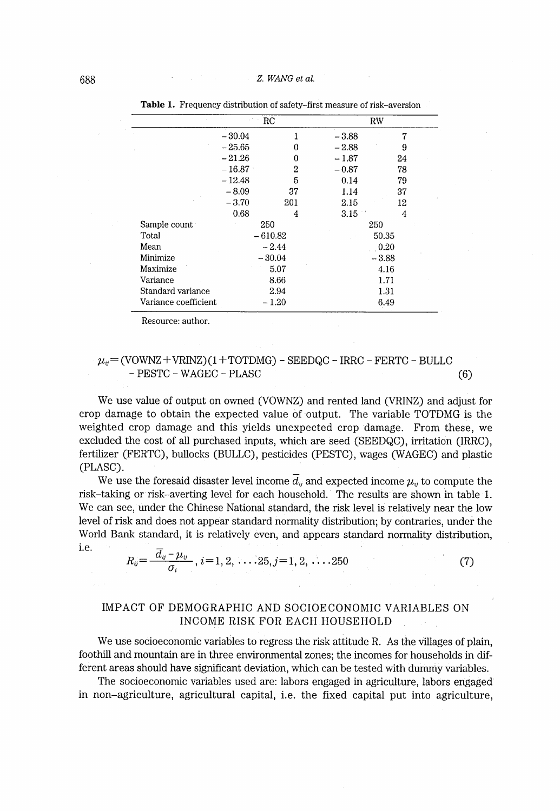|                      | $_{\rm RC}$ |           | RW      |       |
|----------------------|-------------|-----------|---------|-------|
|                      | $-30.04$    |           | $-3.88$ | 7     |
|                      | $-25.65$    | 0         | $-2.88$ | 9     |
|                      | $-21.26$    | 0         | $-1.87$ | 24    |
|                      | $-16.87$    | 2         | $-0.87$ | 78    |
|                      | $-12.48$    | 5         | 0.14    | 79    |
|                      | $-8.09$     | 37        | 1.14    | 37    |
|                      | $-3.70$     | 201       | 2.15    | 12    |
|                      | 0.68        | 4         | 3.15    | 4     |
| Sample count         |             | 250       |         | 250   |
| Total                |             | $-610.82$ |         | 50.35 |
| Mean                 | $-2.44$     |           | 0.20    |       |
| Minimize             | $-30.04$    |           | $-3.88$ |       |
| Maximize             |             | 5.07      |         | 4.16  |
| Variance             | 8.66        |           | 1.71    |       |
| Standard variance    | 2.94        |           | 1.31    |       |
| Variance coefficient |             | $-1.20$   |         | 6.49  |

Table 1. Frequency distribution of safety-first measure of risk-aversion

Resource: author.

# $\mu_{ii}$  = (VOWNZ + VRINZ) (1 + TOTDMG) - SEEDQC - IRRC - FERTC - BULLC - PESTC - WAGEC - PLASC (6)

We use value of output on owned (VOWNZ) and rented land (VRINZ) and adjust for crop damage to obtain the expected value of output. The variable TOTDMG is the weighted crop damage and this yields unexpected crop damage. From these, we excluded the cost of all purchased inputs, which are seed (SEEDQC), irritation (IRRC), fertilizer (FERTC), bullocks (BULLC), pesticides (PESTC), wages (WAGEC) and plastic (PLASC) .

We use the foresaid disaster level income  $\overline{d}_{ij}$  and expected income  $\mu_{ij}$  to compute the risk-taking or risk-averting level for each household. The results are shown in table 1. We can see, under the Chinese National standard, the risk level is relatively near the low level of risk and does not appear standard normality distribution; by contraries, under the World Bank standard, it is relatively even, and appears standard normality distribution,

i.e.  $R_{ij} = \frac{\overline{d}_{ij} - \mu_{ij}}{\sigma_i}$ ,  $i = 1, 2, \ldots, 25, j = 1, 2, \ldots, 250$  (7)

# IMPACT OF DEMOGRAPHIC AND SOCIOECONOMIC VARIABLES ON INCOME RISK FOR EACH HOUSEHOLD

We use socioeconomic variables to regress the risk attitude R. As the villages of plain, foothill and mountain are in three environmental zones; the incomes for households in different areas should have significant deviation, which can be tested with dummy variables.

The socioeconomic variables used are: Iabors engaged in agriculture, Iabors engaged in non-agriculture, agricultural capital, i.e. the fixed capital put into agriculture,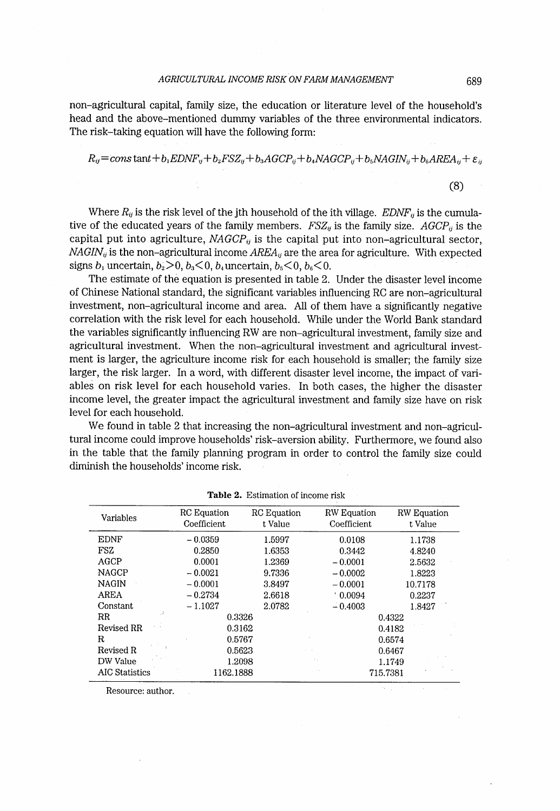non-agricultural capital, family size, the education or literature level of the household's head and the above-mentioned durnmy variables of the three environmental indicators. The risk-taking equation will have the following form:

$$
R_{ij} = constant + b_1EDNF_{ij} + b_2FSZ_{ij} + b_3AGCP_{ij} + b_4NAGCP_{ij} + b_5NAGIN_{ij} + b_6AREA_{ij} + \varepsilon_{ij}
$$

(8)

Where  $R_{ij}$  is the risk level of the jth household of the ith village. EDNF<sub>ij</sub> is the cumulative of the educated years of the family members.  $FSZ_{ij}$  is the family size.  $AGCP_{ij}$  is the capital put into agriculture,  $NAGCP_{ij}$  is the capital put into non-agricultural sector,  $NAGIN_{ij}$  is the non-agricultural income  $AREA_{ij}$  are the area for agriculture. With expected signs  $b_1$  uncertain,  $b_2 > 0$ ,  $b_3 < 0$ ,  $b_4$  uncertain,  $b_5 < 0$ ,  $b_6 < 0$ .

The estimate of the equation is presented in table 2. Under the disaster level income of Chinese National standard, the significant variables influencing RC are non-agricultural investment, non-agricultural income and area. All of them have a significantly negative correlation wlth the risk level for each household. While under the World Bank standard the variables significantly influencing RW are non-agricultural investment, family size and agricultural investment. When the non-agricultural investment and agricultural investment is larger, the agriculture income risk for each household is smaller; the family size larger, the risk larger. In a word, with different disaster level income, the impact of variables on risk level for each household varies. In both cases, the higher the disaster income level, the greater impact the agricultural investment and family size have on risk level for each household.

We found in table 2 that increasing the non-agricultural investment and non-agricultural income could improve households' risk-aversion ability. Furthermore, we found also in the table that the family planning program in order to control the family size could diminish the households' income risk.

| Variables             | RC Equation | RC Equation | RW Equation | <b>RW</b> Equation |
|-----------------------|-------------|-------------|-------------|--------------------|
|                       | Coefficient | t Value     | Coefficient | t Value            |
| <b>EDNF</b>           | $-0.0359$   | 1.5997      | 0.0108      | 1.1738             |
| FSZ                   | 0.2850      | 1.6353      | 0.3442      | 4.8240             |
| AGCP                  | 0.0001      | 1.2369      | $-0.0001$   | 2.5632             |
| <b>NAGCP</b>          | $-0.0021$   | 9.7336      | $-0.0002$   | 1.8223             |
| <b>NAGIN</b>          | $-0.0001$   | 3.8497      | $-0.0001$   | 10.7178            |
| AREA                  | $-0.2734$   | 2.6618      | 0.0094      | 0.2237             |
| Constant              | $-1.1027$   | 2.0782      | $-0.4003$   | 1.8427             |
| $_{\rm RR}$           | 0.3326      |             |             | 0.4322             |
| Revised RR            | 0.3162      |             |             | 0.4182             |
| R                     | 0.5767      |             |             | 0.6574             |
| Revised R             | 0.5623      |             |             | 0.6467             |
| DW Value              | 1.2098      |             |             | 1.1749             |
| <b>AIC Statistics</b> | 1162.1888   |             |             | 715.7381           |

Table 2. Estimation of income risk

Resource: author.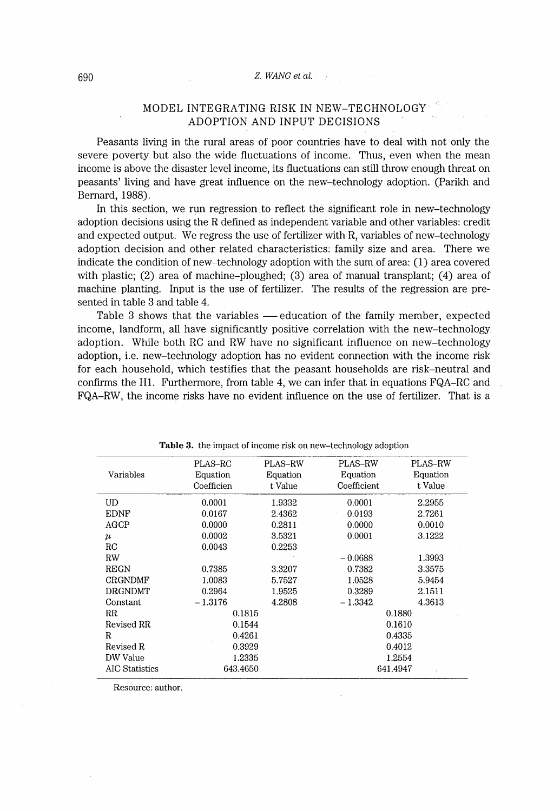#### MODEL INTEGRATlNG RISK IN NEW-TECHNOLOGY ADOPTION AND INPUT DECISIONS

Peasants living in the rural areas of poor countries have to deal with not only the severe poverty but also the wide fluctuations of income. Thus, even when the mean income is above the disaster level income, its fluctuations can still throw enough threat on peasants' Iiving and have great influence on the new-technology adoption. (Parikh and Bernard, 1988).

In this section, we run regression to reflect the significant role in new-technology adoption decisions using the R defined as independent variable and other variables: credit and expected output. We regress the use of fertilizer with R, variables of new-technology adoption decision and other related characteristics: family size and area. There we indicate the condition of new-technology adoption with the sum of area:  $(1)$  area covered with plastic; (2) area of machine-ploughed; (3) area of manual transplant; (4) area of machine planting. Input is the use of fertilizer. The results of the regression are presented in table 3 and table 4.

Table 3 shows that the variables - education of the family member, expected income, Iandform, all have significantly positive correlation with the new-technology adoption. While both RC and RW have no significant influence on new-technology adoption, i.e. new-technology adoption has no evident connection with the income risk for each household, which testifies that the peasant households are risk-neutral and confirms the H1. Furthermore, from table 4, we can infer that in equations FQA-RC and FQA-RW, the income risks have no evident influence on the use of fertilizer. That is a

|                | PLAS-RC    | PLAS-RW  | PLAS-RW     | PLAS–RW  |  |
|----------------|------------|----------|-------------|----------|--|
| Variables      | Equation   | Equation | Equation    | Equation |  |
|                | Coefficien | t Value  | Coefficient | t Value  |  |
| UD             | 0.0001     | 1.9332   | 0.0001      | 2.2955   |  |
| <b>EDNF</b>    | 0.0167     | 2.4362   | 0.0193      | 2.7261   |  |
| AGCP           | 0.0000     | 0.2811   | 0.0000      | 0.0010   |  |
| $\mu$          | 0.0002     | 3.5321   | 0.0001      | 3.1222   |  |
| RC             | 0.0043     | 0.2253   |             |          |  |
| RW             |            |          | $-0.0688$   | 1.3993   |  |
| <b>REGN</b>    | 0.7385     | 3.3207   | 0.7382      | 3.3575   |  |
| <b>CRGNDMF</b> | 1.0083     | 5.7527   | 1.0528      | 5.9454   |  |
| <b>DRGNDMT</b> | 0.2964     | 1.9525   | 0.3289      | 2.1511   |  |
| Constant       | $-1.3176$  | 4.2808   | $-1.3342$   | 4.3613   |  |
| RR             | 0.1815     |          | 0.1880      |          |  |
| Revised RR     | 0.1544     |          | 0.1610      |          |  |
| R              | 0.4261     |          | 0.4335      |          |  |
| Revised R      | 0.3929     |          | 0.4012      |          |  |
| DW Value       | 1.2335     |          | 1.2554      |          |  |
| AIC Statistics | 643.4650   |          | 641.4947    |          |  |

Table 3. the impact of income risk on new-technology adoption

Resource: author.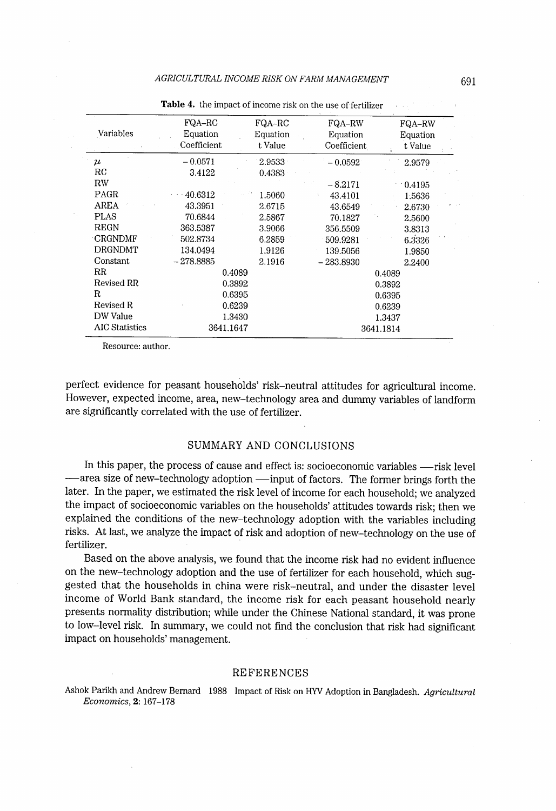| FQA-RC      | FQA-RC   | FQA-RW      | FQA-RW    |  |
|-------------|----------|-------------|-----------|--|
| Equation    | Equation | Equation    | Equation  |  |
| Coefficient | t Value  | Coefficient | t Value   |  |
| $-0.0571$   | 2.9533   | $-0.0592$   | 2.9579    |  |
| 3.4122      | 0.4383   |             |           |  |
|             |          | $-8.2171$   | $-0.4195$ |  |
| 40.6312     | 1.5060   | 43.4101     | 1.5636    |  |
| 43.3951     | 2.6715   | 43.6549     | 2.6730    |  |
| 70.6844     | 2.5867   | 70.1827     | 2.5600    |  |
| 363.5387    | 3.9066   | 356.5509    | 3.8313    |  |
| 502.8734    | 6.2859   | 509.9281    | 6.3326    |  |
| 134.0494    | 1.9126   | 139.5056    | 1.9850    |  |
| $-278.8885$ | 2.1916   | $-283.8930$ | 2.2400    |  |
| 0.4089      |          | 0.4089      |           |  |
| 0.3892      |          | 0.3892      |           |  |
| 0.6395      |          | 0.6395      |           |  |
| 0.6239      |          | 0.6239      |           |  |
| 1.3430      |          | 1.3437      |           |  |
| 3641.1647   |          | 3641.1814   |           |  |
|             |          |             |           |  |

Table 4. the impact of income risk on the use of fertilizer

Resource: author.

perfect evidence for peasant households' risk-neutral attitudes for agricultural income. However, expected income, area, new-technology area and dumrny variables of landform are significantly correlated with the use of fertilizer.

#### SUMMARY AND CONCLUSIONS

In this paper, the process of cause and effect is: socioeconomic variables -- risk level —area size of new-technology adoption —input of factors. The former brings forth the later. In the paper, we estimated the risk level of income for each household; we analyzed the impact of socioeconomic variables on the households' attitudes towards risk; then we explained the conditions of the new-technology adoption with the variables including risks. At last, we analyze the impact of risk and adoption of new-technology on the use of fertilizer.

Based on the above analysis, we found that the income risk had no evident influence on the new-technology adoption and the use of fertilizer for each household, which suggested that the households in china were risk-neutral, and under the disaster level income of World Bank standard, the income risk for each peasant household nearly presents normality distribution; while under the Chinese National standard, it was prone to low-level risk. In summary, we could not find the conclusion that risk had significant impact on households' management.

#### REFERENCES

Ashok Parikh and Andrew Bernard 1988 Impact of Risk on HYV Adoption in Bangladesh. Agricultural Economics, 2: 167-178